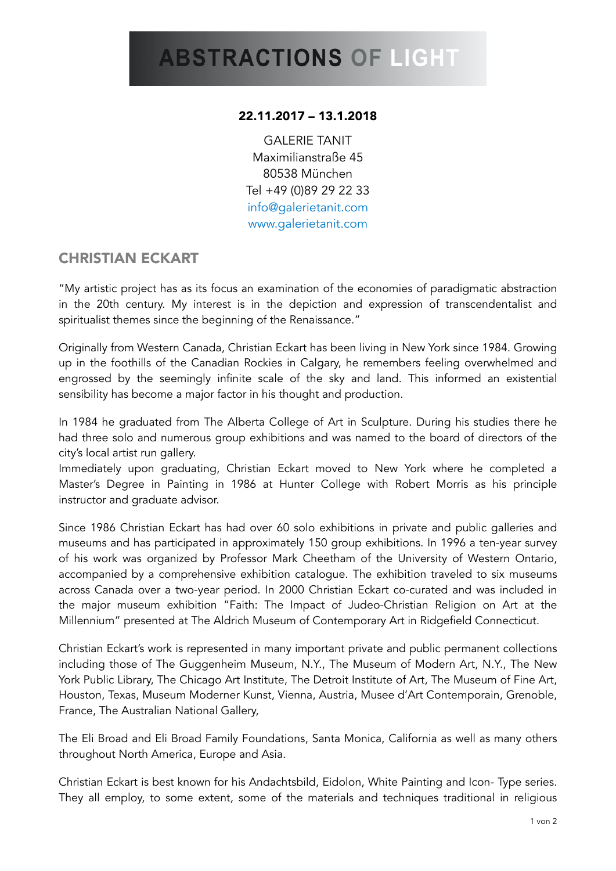## 22.11.2017 – 13.1.2018

GALERIE TANIT Maximilianstraße 45 80538 München Tel +49 (0)89 29 22 33 [info@galerietanit.com](mailto:info@galerietanit.com)  [www.galerietanit.com](http://www.galerietanit.com)

## CHRISTIAN ECKART

"My artistic project has as its focus an examination of the economies of paradigmatic abstraction in the 20th century. My interest is in the depiction and expression of transcendentalist and spiritualist themes since the beginning of the Renaissance."

Originally from Western Canada, Christian Eckart has been living in New York since 1984. Growing up in the foothills of the Canadian Rockies in Calgary, he remembers feeling overwhelmed and engrossed by the seemingly infinite scale of the sky and land. This informed an existential sensibility has become a major factor in his thought and production.

In 1984 he graduated from The Alberta College of Art in Sculpture. During his studies there he had three solo and numerous group exhibitions and was named to the board of directors of the city's local artist run gallery.

Immediately upon graduating, Christian Eckart moved to New York where he completed a Master's Degree in Painting in 1986 at Hunter College with Robert Morris as his principle instructor and graduate advisor.

Since 1986 Christian Eckart has had over 60 solo exhibitions in private and public galleries and museums and has participated in approximately 150 group exhibitions. In 1996 a ten-year survey of his work was organized by Professor Mark Cheetham of the University of Western Ontario, accompanied by a comprehensive exhibition catalogue. The exhibition traveled to six museums across Canada over a two-year period. In 2000 Christian Eckart co-curated and was included in the major museum exhibition "Faith: The Impact of Judeo-Christian Religion on Art at the Millennium" presented at The Aldrich Museum of Contemporary Art in Ridgefield Connecticut.

Christian Eckart's work is represented in many important private and public permanent collections including those of The Guggenheim Museum, N.Y., The Museum of Modern Art, N.Y., The New York Public Library, The Chicago Art Institute, The Detroit Institute of Art, The Museum of Fine Art, Houston, Texas, Museum Moderner Kunst, Vienna, Austria, Musee d'Art Contemporain, Grenoble, France, The Australian National Gallery,

The Eli Broad and Eli Broad Family Foundations, Santa Monica, California as well as many others throughout North America, Europe and Asia.

Christian Eckart is best known for his Andachtsbild, Eidolon, White Painting and Icon- Type series. They all employ, to some extent, some of the materials and techniques traditional in religious